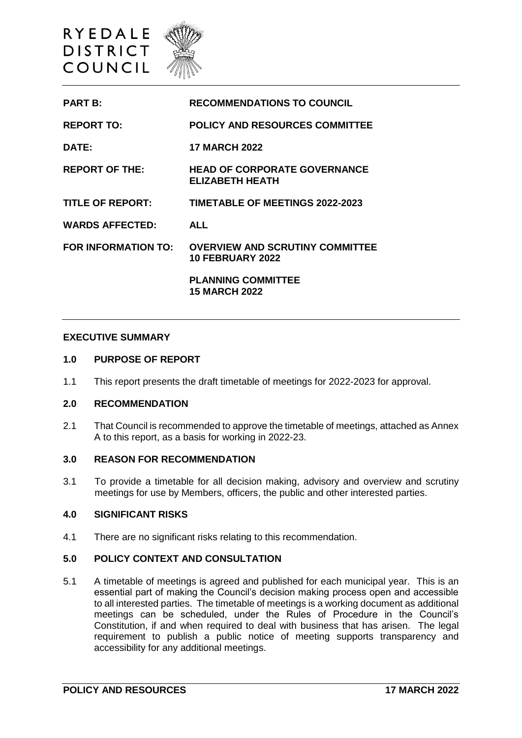

| <b>PART B:</b>         | <b>RECOMMENDATIONS TO COUNCIL</b>                                 |
|------------------------|-------------------------------------------------------------------|
| <b>REPORT TO:</b>      | <b>POLICY AND RESOURCES COMMITTEE</b>                             |
| <b>DATE:</b>           | <b>17 MARCH 2022</b>                                              |
| <b>REPORT OF THE:</b>  | <b>HEAD OF CORPORATE GOVERNANCE</b><br><b>ELIZABETH HEATH</b>     |
| TITLE OF REPORT:       | <b>TIMETABLE OF MEETINGS 2022-2023</b>                            |
| <b>WARDS AFFECTED:</b> | <b>ALL</b>                                                        |
| FOR INFORMATION TO:    | <b>OVERVIEW AND SCRUTINY COMMITTEE</b><br><b>10 FEBRUARY 2022</b> |
|                        | <b>PLANNING COMMITTEE</b><br><b>15 MARCH 2022</b>                 |

#### **EXECUTIVE SUMMARY**

### **1.0 PURPOSE OF REPORT**

1.1 This report presents the draft timetable of meetings for 2022-2023 for approval.

## **2.0 RECOMMENDATION**

2.1 That Council is recommended to approve the timetable of meetings, attached as Annex A to this report, as a basis for working in 2022-23.

#### **3.0 REASON FOR RECOMMENDATION**

3.1 To provide a timetable for all decision making, advisory and overview and scrutiny meetings for use by Members, officers, the public and other interested parties.

# **4.0 SIGNIFICANT RISKS**

4.1 There are no significant risks relating to this recommendation.

#### **5.0 POLICY CONTEXT AND CONSULTATION**

5.1 A timetable of meetings is agreed and published for each municipal year. This is an essential part of making the Council's decision making process open and accessible to all interested parties. The timetable of meetings is a working document as additional meetings can be scheduled, under the Rules of Procedure in the Council's Constitution, if and when required to deal with business that has arisen. The legal requirement to publish a public notice of meeting supports transparency and accessibility for any additional meetings.